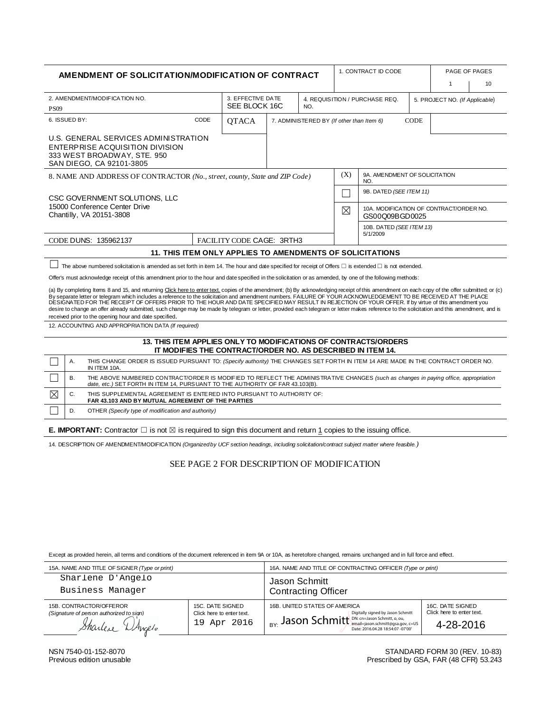| AMENDMENT OF SOLICITATION/MODIFICATION OF CONTRACT                                                                                                                                                                                                                                                                                                                                                                                                                                                                                                                                                                                                                                                                                                                                |                                                                                                                                                                                                                                   |                                                                    |                                           |  |                                | 1. CONTRACT ID CODE                  |                                                           | PAGE OF PAGES |   |  |    |
|-----------------------------------------------------------------------------------------------------------------------------------------------------------------------------------------------------------------------------------------------------------------------------------------------------------------------------------------------------------------------------------------------------------------------------------------------------------------------------------------------------------------------------------------------------------------------------------------------------------------------------------------------------------------------------------------------------------------------------------------------------------------------------------|-----------------------------------------------------------------------------------------------------------------------------------------------------------------------------------------------------------------------------------|--------------------------------------------------------------------|-------------------------------------------|--|--------------------------------|--------------------------------------|-----------------------------------------------------------|---------------|---|--|----|
|                                                                                                                                                                                                                                                                                                                                                                                                                                                                                                                                                                                                                                                                                                                                                                                   |                                                                                                                                                                                                                                   |                                                                    |                                           |  |                                |                                      |                                                           |               | 1 |  | 10 |
| 2. AMENDMENT/MODIFICATION NO.                                                                                                                                                                                                                                                                                                                                                                                                                                                                                                                                                                                                                                                                                                                                                     |                                                                                                                                                                                                                                   |                                                                    | 3. EFFECTIVE DATE<br>SEE BLOCK 16C<br>NO. |  | 4. REQUISITION / PURCHASE REQ. |                                      | 5. PROJECT NO. (If Applicable)                            |               |   |  |    |
| <b>PS09</b>                                                                                                                                                                                                                                                                                                                                                                                                                                                                                                                                                                                                                                                                                                                                                                       |                                                                                                                                                                                                                                   |                                                                    |                                           |  |                                |                                      |                                                           |               |   |  |    |
|                                                                                                                                                                                                                                                                                                                                                                                                                                                                                                                                                                                                                                                                                                                                                                                   | 6. ISSUED BY:                                                                                                                                                                                                                     | CODE<br><b>QTACA</b><br>7. ADMINISTE RED BY (If other than Item 6) |                                           |  |                                | <b>CODE</b>                          |                                                           |               |   |  |    |
|                                                                                                                                                                                                                                                                                                                                                                                                                                                                                                                                                                                                                                                                                                                                                                                   | U.S. GENERAL SERVICES ADMINISTRATION<br>ENTERPRISE ACQUISITION DIVISION<br>333 WEST BROADWAY, STE. 950<br>SAN DIEGO, CA 92101-3805                                                                                                |                                                                    |                                           |  |                                |                                      |                                                           |               |   |  |    |
| 8. NAME AND ADDRESS OF CONTRACTOR (No., street, county, State and ZIP Code)                                                                                                                                                                                                                                                                                                                                                                                                                                                                                                                                                                                                                                                                                                       |                                                                                                                                                                                                                                   |                                                                    |                                           |  | (X)                            | 9A. AMENDMENT OF SOLICITATION<br>NO. |                                                           |               |   |  |    |
| CSC GOVERNMENT SOLUTIONS. LLC                                                                                                                                                                                                                                                                                                                                                                                                                                                                                                                                                                                                                                                                                                                                                     |                                                                                                                                                                                                                                   |                                                                    |                                           |  |                                |                                      | 9B. DATED (SEE ITEM 11)                                   |               |   |  |    |
| 15000 Conference Center Drive<br>Chantilly, VA 20151-3808                                                                                                                                                                                                                                                                                                                                                                                                                                                                                                                                                                                                                                                                                                                         |                                                                                                                                                                                                                                   |                                                                    |                                           |  |                                | $\times$                             | 10A. MODIFICATION OF CONTRACT/ORDER NO.<br>GS00Q09BGD0025 |               |   |  |    |
|                                                                                                                                                                                                                                                                                                                                                                                                                                                                                                                                                                                                                                                                                                                                                                                   |                                                                                                                                                                                                                                   |                                                                    |                                           |  |                                |                                      | 10B. DATED (SEE ITEM 13)                                  |               |   |  |    |
| 5/1/2009<br>CODE DUNS: 135962137<br>FACILITY CODE CAGE: 3RTH3                                                                                                                                                                                                                                                                                                                                                                                                                                                                                                                                                                                                                                                                                                                     |                                                                                                                                                                                                                                   |                                                                    |                                           |  |                                |                                      |                                                           |               |   |  |    |
| 11. THIS ITEM ONLY APPLIES TO AMENDMENTS OF SOLICITATIONS                                                                                                                                                                                                                                                                                                                                                                                                                                                                                                                                                                                                                                                                                                                         |                                                                                                                                                                                                                                   |                                                                    |                                           |  |                                |                                      |                                                           |               |   |  |    |
| The above numbered solicitation is amended as set forth in item 14. The hour and date specified for receipt of Offers $\Box$ is extended $\Box$ is not extended.                                                                                                                                                                                                                                                                                                                                                                                                                                                                                                                                                                                                                  |                                                                                                                                                                                                                                   |                                                                    |                                           |  |                                |                                      |                                                           |               |   |  |    |
| Offer's must acknowledge receipt of this amendment prior to the hour and date specified in the solicitation or as amended, by one of the following methods:                                                                                                                                                                                                                                                                                                                                                                                                                                                                                                                                                                                                                       |                                                                                                                                                                                                                                   |                                                                    |                                           |  |                                |                                      |                                                           |               |   |  |    |
| (a) By completing Items 8 and 15, and returning Click here to enter text, copies of the amendment; (b) By acknowledging receipt of this amendment on each copy of the offer submitted; or (c)<br>By separate letter or telegram which includes a reference to the solicitation and amendment numbers. FAILURE OF YOUR ACKNOWLEDGEMENT TO BE RECEIVED AT THE PLACE<br>DESIGNATED FOR THE RECEIPT OF OFFERS PRIOR TO THE HOUR AND DATE SPECIFIED MAY RESULT IN REJECTION OF YOUR OFFER. If by virtue of this amendment you<br>desire to change an offer already submitted, such change may be made by telegram or letter, provided each telegram or letter makes reference to the solicitation and this amendment, and is<br>received prior to the opening hour and date specified. |                                                                                                                                                                                                                                   |                                                                    |                                           |  |                                |                                      |                                                           |               |   |  |    |
| 12. ACCOUNTING AND APPROPRIATION DATA (If required)                                                                                                                                                                                                                                                                                                                                                                                                                                                                                                                                                                                                                                                                                                                               |                                                                                                                                                                                                                                   |                                                                    |                                           |  |                                |                                      |                                                           |               |   |  |    |
| 13. THIS ITEM APPLIES ONLY TO MODIFICATIONS OF CONTRACTS/ORDERS<br>IT MODIFIES THE CONTRACT/ORDER NO. AS DESCRIBED IN ITEM 14.                                                                                                                                                                                                                                                                                                                                                                                                                                                                                                                                                                                                                                                    |                                                                                                                                                                                                                                   |                                                                    |                                           |  |                                |                                      |                                                           |               |   |  |    |
|                                                                                                                                                                                                                                                                                                                                                                                                                                                                                                                                                                                                                                                                                                                                                                                   | А.<br>THIS CHANGE ORDER IS ISSUED PURSUANT TO: (Specify authority) THE CHANGES SET FORTH IN ITEM 14 ARE MADE IN THE CONTRACT ORDER NO.<br>IN ITEM 10A.                                                                            |                                                                    |                                           |  |                                |                                      |                                                           |               |   |  |    |
|                                                                                                                                                                                                                                                                                                                                                                                                                                                                                                                                                                                                                                                                                                                                                                                   | <b>B.</b><br>THE ABOVE NUMBERED CONTRACT/ORDER IS MODIFIED TO REFLECT THE ADMINISTRATIVE CHANGES (such as changes in paying office, appropriation<br>date, etc.) SET FORTH IN ITEM 14, PURSUANT TO THE AUTHORITY OF FAR 43.103(B) |                                                                    |                                           |  |                                |                                      |                                                           |               |   |  |    |
| $\boxtimes$                                                                                                                                                                                                                                                                                                                                                                                                                                                                                                                                                                                                                                                                                                                                                                       | C.<br>THIS SUPPLEMENTAL AGREEMENT IS ENTERED INTO PURSUANT TO AUTHORITY OF:<br>FAR 43.103 AND BY MUTUAL AGREEMENT OF THE PARTIES                                                                                                  |                                                                    |                                           |  |                                |                                      |                                                           |               |   |  |    |
| D.<br>OTHER (Specify type of modification and authority)                                                                                                                                                                                                                                                                                                                                                                                                                                                                                                                                                                                                                                                                                                                          |                                                                                                                                                                                                                                   |                                                                    |                                           |  |                                |                                      |                                                           |               |   |  |    |
| <b>E. IMPORTANT:</b> Contractor $\Box$ is not $\boxtimes$ is required to sign this document and return 1 copies to the issuing office.                                                                                                                                                                                                                                                                                                                                                                                                                                                                                                                                                                                                                                            |                                                                                                                                                                                                                                   |                                                                    |                                           |  |                                |                                      |                                                           |               |   |  |    |
| 14. DESCRIPTION OF AMENDMENT/MODIFICATION (Organized by UCF section headings, including solicitation/contract subject matter where feasible.)                                                                                                                                                                                                                                                                                                                                                                                                                                                                                                                                                                                                                                     |                                                                                                                                                                                                                                   |                                                                    |                                           |  |                                |                                      |                                                           |               |   |  |    |

SEE PAGE 2 FOR DESCRIPTION OF MODIFICATION

Except as provided herein, all terms and conditions of the document referenced in item 9A or 10A, as heretofore changed, remains unchanged and in full force and effect.

| 15A. NAME AND TITLE OF SIGNER (Type or print)                                          |                                                              | 16A. NAME AND TITLE OF CONTRACTING OFFICER (Type or print)                                                                                                             |                                                            |  |  |
|----------------------------------------------------------------------------------------|--------------------------------------------------------------|------------------------------------------------------------------------------------------------------------------------------------------------------------------------|------------------------------------------------------------|--|--|
| Sharlene D'Angelo                                                                      |                                                              | Jason Schmitt<br><b>Contracting Officer</b>                                                                                                                            |                                                            |  |  |
| Business Manager                                                                       |                                                              |                                                                                                                                                                        |                                                            |  |  |
| 15B. CONTRACTOR/OFFEROR<br>(Signature of person authorized to sign)<br>Sharlese Whicho | 15C. DATE SIGNED<br>Click here to enter text.<br>19 Apr 2016 | 16B. UNITED STATES OF AMERICA<br>Digitally signed by Jason Schmitt<br>$B_Y$ . Jason Schmitt $D_N$ : cn=Jason Schmitt, 0, 0u, c=US<br>Date: 2016.04.28 18:54:07 -07'00' | 16C. DATE SIGNED<br>Click here to enter text.<br>4-28-2016 |  |  |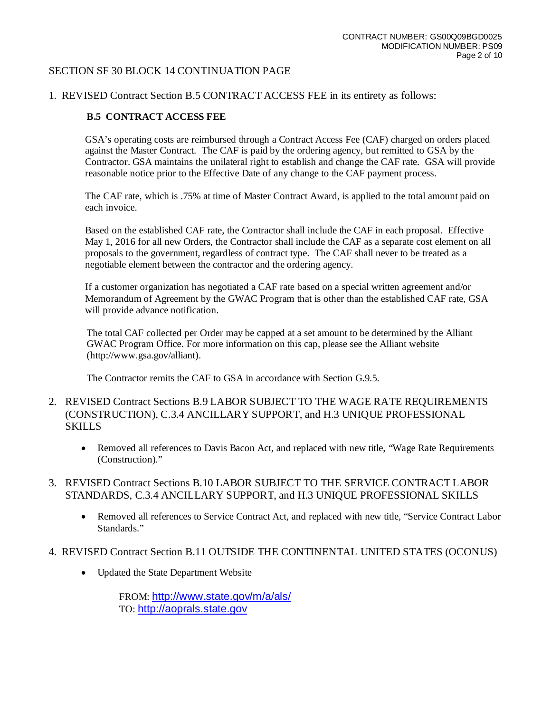#### SECTION SF 30 BLOCK 14 CONTINUATION PAGE

#### 1. REVISED Contract Section B.5 CONTRACT ACCESS FEE in its entirety as follows:

#### **B.5 CONTRACT ACCESS FEE**

GSA's operating costs are reimbursed through a Contract Access Fee (CAF) charged on orders placed against the Master Contract. The CAF is paid by the ordering agency, but remitted to GSA by the Contractor. GSA maintains the unilateral right to establish and change the CAF rate. GSA will provide reasonable notice prior to the Effective Date of any change to the CAF payment process.

The CAF rate, which is .75% at time of Master Contract Award, is applied to the total amount paid on each invoice.

Based on the established CAF rate, the Contractor shall include the CAF in each proposal. Effective May 1, 2016 for all new Orders, the Contractor shall include the CAF as a separate cost element on all proposals to the government, regardless of contract type. The CAF shall never to be treated as a negotiable element between the contractor and the ordering agency.

If a customer organization has negotiated a CAF rate based on a special written agreement and/or Memorandum of Agreement by the GWAC Program that is other than the established CAF rate, GSA will provide advance notification.

The total CAF collected per Order may be capped at a set amount to be determined by the Alliant GWAC Program Office. For more information on this cap, please see the Alliant website (http://www.gsa.gov/alliant).

The Contractor remits the CAF to GSA in accordance with Section G.9.5.

- 2. REVISED Contract Sections B.9 LABOR SUBJECT TO THE WAGE RATE REQUIREMENTS (CONSTRUCTION), C.3.4 ANCILLARY SUPPORT, and H.3 UNIQUE PROFESSIONAL SKILLS
	- Removed all references to Davis Bacon Act, and replaced with new title, "Wage Rate Requirements" (Construction)."
- 3. REVISED Contract Sections B.10 LABOR SUBJECT TO THE SERVICE CONTRACT LABOR STANDARDS, C.3.4 ANCILLARY SUPPORT, and H.3 UNIQUE PROFESSIONAL SKILLS
	- Removed all references to Service Contract Act, and replaced with new title, "Service Contract Labor" Standards."
- 4. REVISED Contract Section B.11 OUTSIDE THE CONTINENTAL UNITED STATES (OCONUS)
	- Updated the State Department Website

FROM: <http://www.state.gov/m/a/als/> TO: [http://aoprals.state.gov](http://aoprals.state.gov/)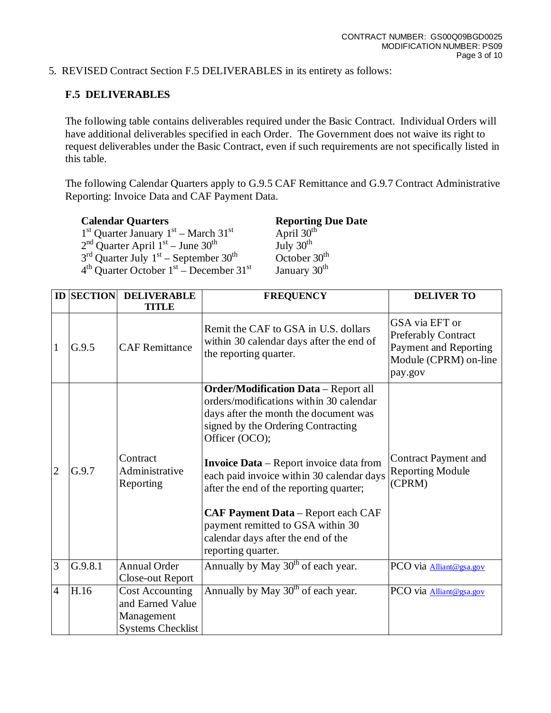5. REVISED Contract Section F.5 DELIVERABLES in its entirety as follows:

# **F.5 DELIVERABLES**

The following table contains deliverables required under the Basic Contract. Individual Orders will have additional deliverables specified in each Order. The Government does not waive its right to request deliverables under the Basic Contract, even if such requirements are not specifically listed in this table.

The following Calendar Quarters apply to G.9.5 CAF Remittance and G.9.7 Contract Administrative Reporting: Invoice Data and CAF Payment Data.

**Reporting Due Date**<br>April  $30^{\text{th}}$  $1<sup>st</sup>$  Quarter January  $1<sup>st</sup>$  – March  $31<sup>st</sup>$  April  $30<sup>th</sup>$  $2<sup>nd</sup>$  Quarter April  $1<sup>st</sup>$  – June 30<sup>th</sup> July 30<sup>th</sup>  $3<sup>rd</sup>$  Quarter July  $1<sup>st</sup>$  – September  $30<sup>th</sup>$  October  $30<sup>th</sup>$  $4<sup>th</sup>$  Quarter October 1<sup>st</sup> – December 31<sup>st</sup> January 30<sup>th</sup>

|                | <b>ID SECTION</b> | <b>DELIVERABLE</b><br><b>TITLE</b>                                                   | <b>FREQUENCY</b>                                                                                                                                                                                                                                                                                                                                                                                                                                                                | <b>DELIVER TO</b>                                                                                         |
|----------------|-------------------|--------------------------------------------------------------------------------------|---------------------------------------------------------------------------------------------------------------------------------------------------------------------------------------------------------------------------------------------------------------------------------------------------------------------------------------------------------------------------------------------------------------------------------------------------------------------------------|-----------------------------------------------------------------------------------------------------------|
| $\mathbf{1}$   | G.9.5             | <b>CAF Remittance</b>                                                                | Remit the CAF to GSA in U.S. dollars<br>within 30 calendar days after the end of<br>the reporting quarter.                                                                                                                                                                                                                                                                                                                                                                      | GSA via EFT or<br><b>Preferably Contract</b><br>Payment and Reporting<br>Module (CPRM) on-line<br>pay.gov |
| $\overline{2}$ | G.9.7             | Contract<br>Administrative<br>Reporting                                              | <b>Order/Modification Data</b> - Report all<br>orders/modifications within 30 calendar<br>days after the month the document was<br>signed by the Ordering Contracting<br>Officer (OCO);<br><b>Invoice Data</b> – Report invoice data from<br>each paid invoice within 30 calendar days<br>after the end of the reporting quarter;<br><b>CAF Payment Data</b> – Report each CAF<br>payment remitted to GSA within 30<br>calendar days after the end of the<br>reporting quarter. | <b>Contract Payment and</b><br><b>Reporting Module</b><br>(CPRM)                                          |
| 3              | G.9.8.1           | <b>Annual Order</b><br>Close-out Report                                              | Annually by May 30 <sup>th</sup> of each year.                                                                                                                                                                                                                                                                                                                                                                                                                                  | PCO via Alliant@gsa.gov                                                                                   |
| $\overline{4}$ | H.16              | <b>Cost Accounting</b><br>and Earned Value<br>Management<br><b>Systems Checklist</b> | Annually by May 30 <sup>th</sup> of each year.                                                                                                                                                                                                                                                                                                                                                                                                                                  | PCO via Alliant@gsa.gov                                                                                   |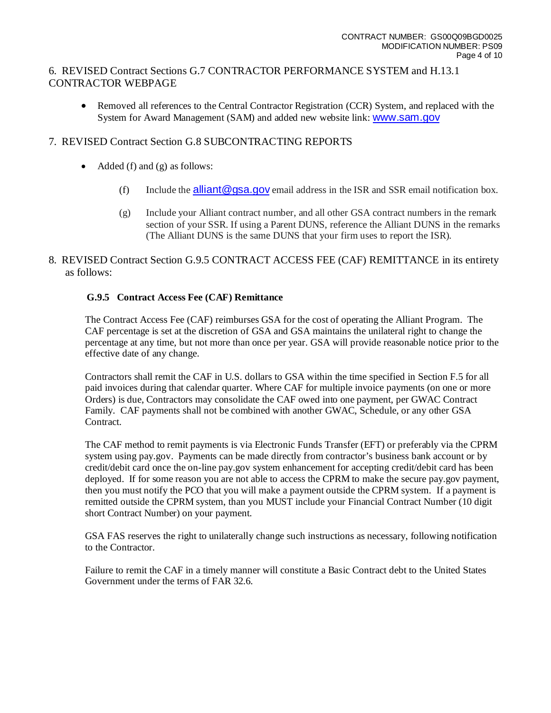## 6. REVISED Contract Sections G.7 CONTRACTOR PERFORMANCE SYSTEM and H.13.1 CONTRACTOR WEBPAGE

• Removed all references to the Central Contractor Registration (CCR) System, and replaced with the System for Award Management (SAM) and added new website link: [www.sam.gov](http://www.sam.gov/)

## 7. REVISED Contract Section G.8 SUBCONTRACTING REPORTS

- Added (f) and (g) as follows:
	- (f) Include the alliant  $@$  qsa.gov email address in the ISR and SSR email notification box.
	- (g) Include your Alliant contract number, and all other GSA contract numbers in the remark section of your SSR. If using a Parent DUNS, reference the Alliant DUNS in the remarks (The Alliant DUNS is the same DUNS that your firm uses to report the ISR).
- 8. REVISED Contract Section G.9.5 CONTRACT ACCESS FEE (CAF) REMITTANCE in its entirety as follows:

### **G.9.5 Contract Access Fee (CAF) Remittance**

The Contract Access Fee (CAF) reimburses GSA for the cost of operating the Alliant Program. The CAF percentage is set at the discretion of GSA and GSA maintains the unilateral right to change the percentage at any time, but not more than once per year. GSA will provide reasonable notice prior to the effective date of any change.

Contractors shall remit the CAF in U.S. dollars to GSA within the time specified in Section F.5 for all paid invoices during that calendar quarter. Where CAF for multiple invoice payments (on one or more Orders) is due, Contractors may consolidate the CAF owed into one payment, per GWAC Contract Family. CAF payments shall not be combined with another GWAC, Schedule, or any other GSA Contract.

The CAF method to remit payments is via Electronic Funds Transfer (EFT) or preferably via the CPRM system using pay.gov. Payments can be made directly from contractor's business bank account or by credit/debit card once the on-line pay.gov system enhancement for accepting credit/debit card has been deployed. If for some reason you are not able to access the CPRM to make the secure pay.gov payment, then you must notify the PCO that you will make a payment outside the CPRM system. If a payment is remitted outside the CPRM system, than you MUST include your Financial Contract Number (10 digit short Contract Number) on your payment.

GSA FAS reserves the right to unilaterally change such instructions as necessary, following notification to the Contractor.

Failure to remit the CAF in a timely manner will constitute a Basic Contract debt to the United States Government under the terms of FAR 32.6.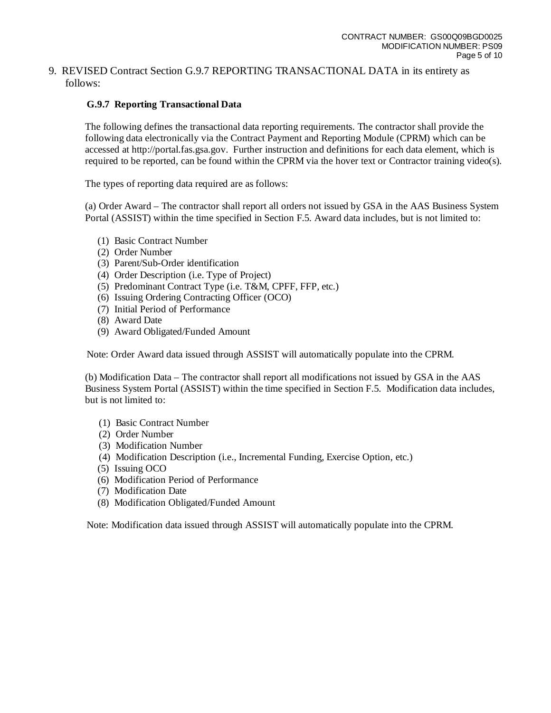#### 9. REVISED Contract Section G.9.7 REPORTING TRANSACTIONAL DATA in its entirety as follows:

### **G.9.7 Reporting Transactional Data**

The following defines the transactional data reporting requirements. The contractor shall provide the following data electronically via the Contract Payment and Reporting Module (CPRM) which can be accessed at http://portal.fas.gsa.gov. Further instruction and definitions for each data element, which is required to be reported, can be found within the CPRM via the hover text or Contractor training video(s).

The types of reporting data required are as follows:

(a) Order Award – The contractor shall report all orders not issued by GSA in the AAS Business System Portal (ASSIST) within the time specified in Section F.5. Award data includes, but is not limited to:

- (1) Basic Contract Number
- (2) Order Number
- (3) Parent/Sub-Order identification
- (4) Order Description (i.e. Type of Project)
- (5) Predominant Contract Type (i.e. T&M, CPFF, FFP, etc.)
- (6) Issuing Ordering Contracting Officer (OCO)
- (7) Initial Period of Performance
- (8) Award Date
- (9) Award Obligated/Funded Amount

Note: Order Award data issued through ASSIST will automatically populate into the CPRM.

(b) Modification Data – The contractor shall report all modifications not issued by GSA in the AAS Business System Portal (ASSIST) within the time specified in Section F.5. Modification data includes, but is not limited to:

- (1) Basic Contract Number
- (2) Order Number
- (3) Modification Number
- (4) Modification Description (i.e., Incremental Funding, Exercise Option, etc.)
- (5) Issuing OCO
- (6) Modification Period of Performance
- (7) Modification Date
- (8) Modification Obligated/Funded Amount

Note: Modification data issued through ASSIST will automatically populate into the CPRM.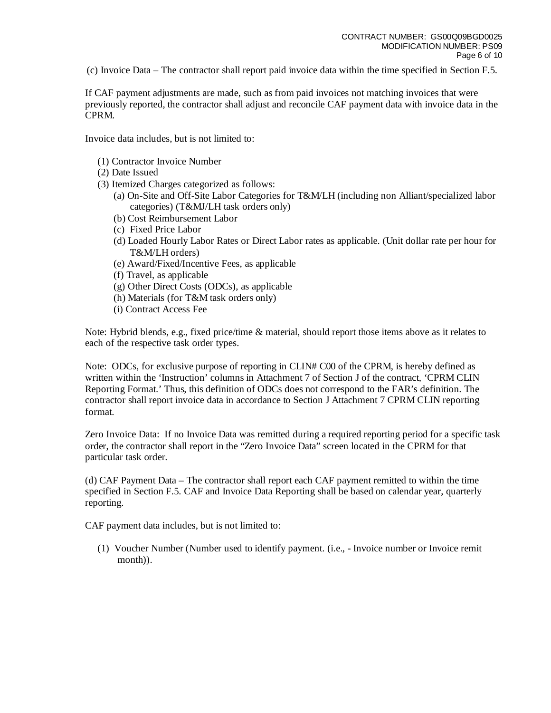(c) Invoice Data – The contractor shall report paid invoice data within the time specified in Section F.5.

If CAF payment adjustments are made, such as from paid invoices not matching invoices that were previously reported, the contractor shall adjust and reconcile CAF payment data with invoice data in the CPRM.

Invoice data includes, but is not limited to:

- (1) Contractor Invoice Number
- (2) Date Issued
- (3) Itemized Charges categorized as follows:
	- (a) On-Site and Off-Site Labor Categories for T&M/LH (including non Alliant/specialized labor categories) (T&MJ/LH task orders only)
	- (b) Cost Reimbursement Labor
	- (c) Fixed Price Labor
	- (d) Loaded Hourly Labor Rates or Direct Labor rates as applicable. (Unit dollar rate per hour for T&M/LH orders)
	- (e) Award/Fixed/Incentive Fees, as applicable
	- (f) Travel, as applicable
	- (g) Other Direct Costs (ODCs), as applicable
	- (h) Materials (for T&M task orders only)
	- (i) Contract Access Fee

Note: Hybrid blends, e.g., fixed price/time & material, should report those items above as it relates to each of the respective task order types.

Note: ODCs, for exclusive purpose of reporting in CLIN# C00 of the CPRM, is hereby defined as written within the 'Instruction' columns in Attachment 7 of Section J of the contract, 'CPRM CLIN Reporting Format.' Thus, this definition of ODCs does not correspond to the FAR's definition. The contractor shall report invoice data in accordance to Section J Attachment 7 CPRM CLIN reporting format.

Zero Invoice Data: If no Invoice Data was remitted during a required reporting period for a specific task order, the contractor shall report in the "Zero Invoice Data" screen located in the CPRM for that particular task order.

(d) CAF Payment Data – The contractor shall report each CAF payment remitted to within the time specified in Section F.5. CAF and Invoice Data Reporting shall be based on calendar year, quarterly reporting.

CAF payment data includes, but is not limited to:

(1) Voucher Number (Number used to identify payment. (i.e., - Invoice number or Invoice remit month)).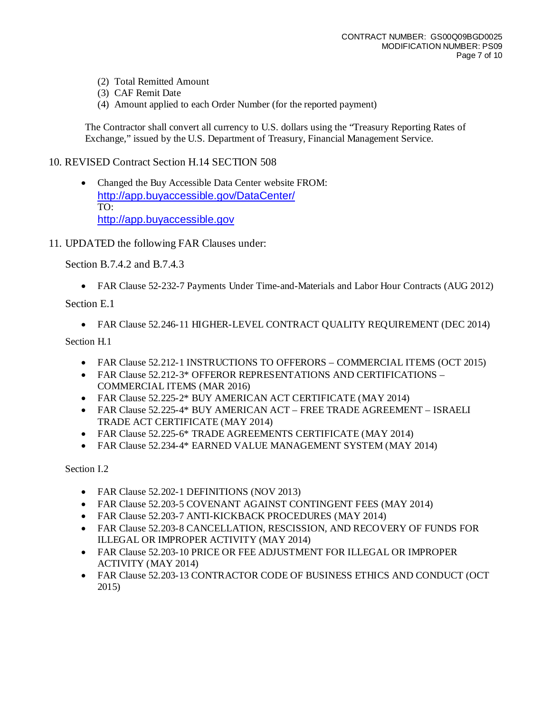- (2) Total Remitted Amount
- (3) CAF Remit Date
- (4) Amount applied to each Order Number (for the reported payment)

The Contractor shall convert all currency to U.S. dollars using the "Treasury Reporting Rates of Exchange," issued by the U.S. Department of Treasury, Financial Management Service.

## 10. REVISED Contract Section H.14 SECTION 508

- Changed the Buy Accessible Data Center website FROM: <http://app.buyaccessible.gov/DataCenter/> TO: [http://app.buyaccessible.gov](http://app.buyaccessible.gov/)
- 11. UPDATED the following FAR Clauses under:

Section B.7.4.2 and B.7.4.3

• FAR Clause 52-232-7 Payments Under Time-and-Materials and Labor Hour Contracts (AUG 2012)

Section E.1

• FAR Clause 52.246-11 HIGHER-LEVEL CONTRACT QUALITY REQUIREMENT (DEC 2014)

Section H.1

- FAR Clause 52.212-1 INSTRUCTIONS TO OFFERORS COMMERCIAL ITEMS (OCT 2015)
- FAR Clause 52.212-3\* OFFEROR REPRESENTATIONS AND CERTIFICATIONS COMMERCIAL ITEMS (MAR 2016)
- FAR Clause 52.225-2\* BUY AMERICAN ACT CERTIFICATE (MAY 2014)
- FAR Clause 52.225-4\* BUY AMERICAN ACT FREE TRADE AGREEMENT ISRAELI TRADE ACT CERTIFICATE (MAY 2014)
- FAR Clause 52.225-6\* TRADE AGREEMENTS CERTIFICATE (MAY 2014)
- FAR Clause 52.234-4\* EARNED VALUE MANAGEMENT SYSTEM (MAY 2014)

Section I.2

- FAR Clause 52.202-1 DEFINITIONS (NOV 2013)
- FAR Clause 52.203-5 COVENANT AGAINST CONTINGENT FEES (MAY 2014)
- FAR Clause 52.203-7 ANTI-KICKBACK PROCEDURES (MAY 2014)
- FAR Clause 52.203-8 CANCELLATION, RESCISSION, AND RECOVERY OF FUNDS FOR ILLEGAL OR IMPROPER ACTIVITY (MAY 2014)
- FAR Clause 52.203-10 PRICE OR FEE ADJUSTMENT FOR ILLEGAL OR IMPROPER ACTIVITY (MAY 2014)
- FAR Clause 52.203-13 CONTRACTOR CODE OF BUSINESS ETHICS AND CONDUCT (OCT 2015)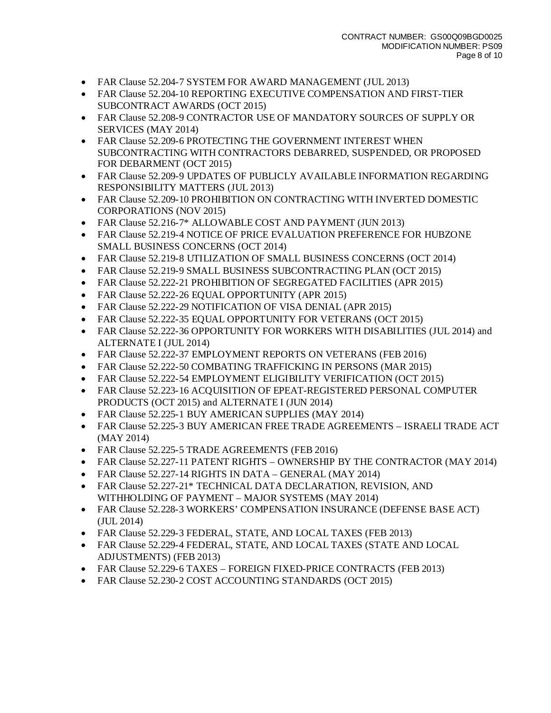- FAR Clause 52.204-7 SYSTEM FOR AWARD MANAGEMENT (JUL 2013)
- FAR Clause 52.204-10 REPORTING EXECUTIVE COMPENSATION AND FIRST-TIER SUBCONTRACT AWARDS (OCT 2015)
- FAR Clause 52.208-9 CONTRACTOR USE OF MANDATORY SOURCES OF SUPPLY OR SERVICES (MAY 2014)
- FAR Clause 52.209-6 PROTECTING THE GOVERNMENT INTEREST WHEN SUBCONTRACTING WITH CONTRACTORS DEBARRED, SUSPENDED, OR PROPOSED FOR DEBARMENT (OCT 2015)
- FAR Clause 52.209-9 UPDATES OF PUBLICLY AVAILABLE INFORMATION REGARDING RESPONSIBILITY MATTERS (JUL 2013)
- FAR Clause 52.209-10 PROHIBITION ON CONTRACTING WITH INVERTED DOMESTIC CORPORATIONS (NOV 2015)
- FAR Clause 52.216-7\* ALLOWABLE COST AND PAYMENT (JUN 2013)
- FAR Clause 52.219-4 NOTICE OF PRICE EVALUATION PREFERENCE FOR HUBZONE SMALL BUSINESS CONCERNS (OCT 2014)
- FAR Clause 52.219-8 UTILIZATION OF SMALL BUSINESS CONCERNS (OCT 2014)
- FAR Clause 52.219-9 SMALL BUSINESS SUBCONTRACTING PLAN (OCT 2015)
- FAR Clause 52.222-21 PROHIBITION OF SEGREGATED FACILITIES (APR 2015)
- FAR Clause 52.222-26 EQUAL OPPORTUNITY (APR 2015)
- FAR Clause 52.222-29 NOTIFICATION OF VISA DENIAL (APR 2015)
- FAR Clause 52.222-35 EQUAL OPPORTUNITY FOR VETERANS (OCT 2015)
- FAR Clause 52.222-36 OPPORTUNITY FOR WORKERS WITH DISABILITIES (JUL 2014) and ALTERNATE I (JUL 2014)
- FAR Clause 52.222-37 EMPLOYMENT REPORTS ON VETERANS (FEB 2016)
- FAR Clause 52.222-50 COMBATING TRAFFICKING IN PERSONS (MAR 2015)
- FAR Clause 52.222-54 EMPLOYMENT ELIGIBILITY VERIFICATION (OCT 2015)
- FAR Clause 52.223-16 ACQUISITION OF EPEAT-REGISTERED PERSONAL COMPUTER PRODUCTS (OCT 2015) and ALTERNATE I (JUN 2014)
- FAR Clause 52.225-1 BUY AMERICAN SUPPLIES (MAY 2014)
- FAR Clause 52.225-3 BUY AMERICAN FREE TRADE AGREEMENTS ISRAELI TRADE ACT (MAY 2014)
- FAR Clause 52.225-5 TRADE AGREEMENTS (FEB 2016)
- FAR Clause 52.227-11 PATENT RIGHTS OWNERSHIP BY THE CONTRACTOR (MAY 2014)
- FAR Clause 52.227-14 RIGHTS IN DATA GENERAL (MAY 2014)
- FAR Clause 52.227-21\* TECHNICAL DATA DECLARATION, REVISION, AND WITHHOLDING OF PAYMENT – MAJOR SYSTEMS (MAY 2014)
- FAR Clause 52.228-3 WORKERS' COMPENSATION INSURANCE (DEFENSE BASE ACT) (JUL 2014)
- FAR Clause 52.229-3 FEDERAL, STATE, AND LOCAL TAXES (FEB 2013)
- FAR Clause 52.229-4 FEDERAL, STATE, AND LOCAL TAXES (STATE AND LOCAL ADJUSTMENTS) (FEB 2013)
- FAR Clause 52.229-6 TAXES FOREIGN FIXED-PRICE CONTRACTS (FEB 2013)
- FAR Clause 52.230-2 COST ACCOUNTING STANDARDS (OCT 2015)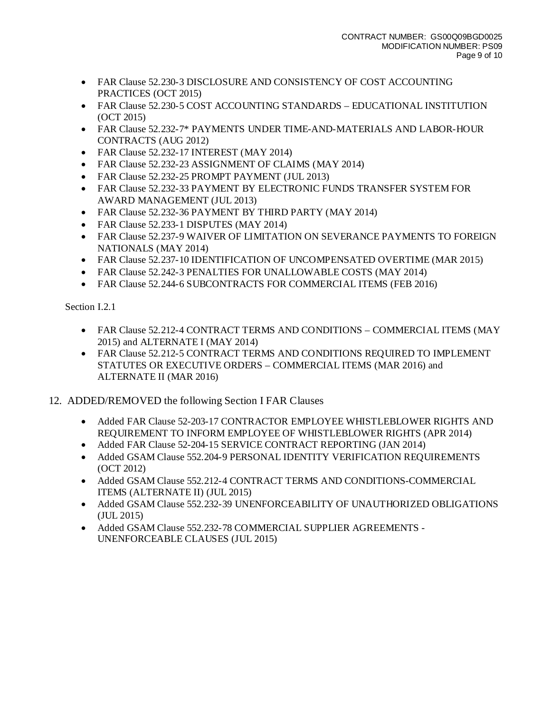- FAR Clause 52.230-3 DISCLOSURE AND CONSISTENCY OF COST ACCOUNTING PRACTICES (OCT 2015)
- FAR Clause 52.230-5 COST ACCOUNTING STANDARDS EDUCATIONAL INSTITUTION (OCT 2015)
- FAR Clause 52.232-7\* PAYMENTS UNDER TIME-AND-MATERIALS AND LABOR-HOUR CONTRACTS (AUG 2012)
- FAR Clause 52.232-17 INTEREST (MAY 2014)
- FAR Clause 52.232-23 ASSIGNMENT OF CLAIMS (MAY 2014)
- FAR Clause 52.232-25 PROMPT PAYMENT (JUL 2013)
- FAR Clause 52.232-33 PAYMENT BY ELECTRONIC FUNDS TRANSFER SYSTEM FOR AWARD MANAGEMENT (JUL 2013)
- FAR Clause 52.232-36 PAYMENT BY THIRD PARTY (MAY 2014)
- FAR Clause 52.233-1 DISPUTES (MAY 2014)
- FAR Clause 52.237-9 WAIVER OF LIMITATION ON SEVERANCE PAYMENTS TO FOREIGN NATIONALS (MAY 2014)
- FAR Clause 52.237-10 IDENTIFICATION OF UNCOMPENSATED OVERTIME (MAR 2015)
- FAR Clause 52.242-3 PENALTIES FOR UNALLOWABLE COSTS (MAY 2014)
- FAR Clause 52.244-6 SUBCONTRACTS FOR COMMERCIAL ITEMS (FEB 2016)

Section I.2.1

- FAR Clause 52.212-4 CONTRACT TERMS AND CONDITIONS COMMERCIAL ITEMS (MAY 2015) and ALTERNATE I (MAY 2014)
- FAR Clause 52.212-5 CONTRACT TERMS AND CONDITIONS REQUIRED TO IMPLEMENT STATUTES OR EXECUTIVE ORDERS – COMMERCIAL ITEMS (MAR 2016) and ALTERNATE II (MAR 2016)
- 12. ADDED/REMOVED the following Section I FAR Clauses
	- Added FAR Clause 52-203-17 CONTRACTOR EMPLOYEE WHISTLEBLOWER RIGHTS AND REQUIREMENT TO INFORM EMPLOYEE OF WHISTLEBLOWER RIGHTS (APR 2014)
	- Added FAR Clause 52-204-15 SERVICE CONTRACT REPORTING (JAN 2014)
	- Added GSAM Clause 552.204-9 PERSONAL IDENTITY VERIFICATION REQUIREMENTS (OCT 2012)
	- Added GSAM Clause 552.212-4 CONTRACT TERMS AND CONDITIONS-COMMERCIAL ITEMS (ALTERNATE II) (JUL 2015)
	- Added GSAM Clause 552.232-39 UNENFORCEABILITY OF UNAUTHORIZED OBLIGATIONS (JUL 2015)
	- Added GSAM Clause 552.232-78 COMMERCIAL SUPPLIER AGREEMENTS UNENFORCEABLE CLAUSES (JUL 2015)